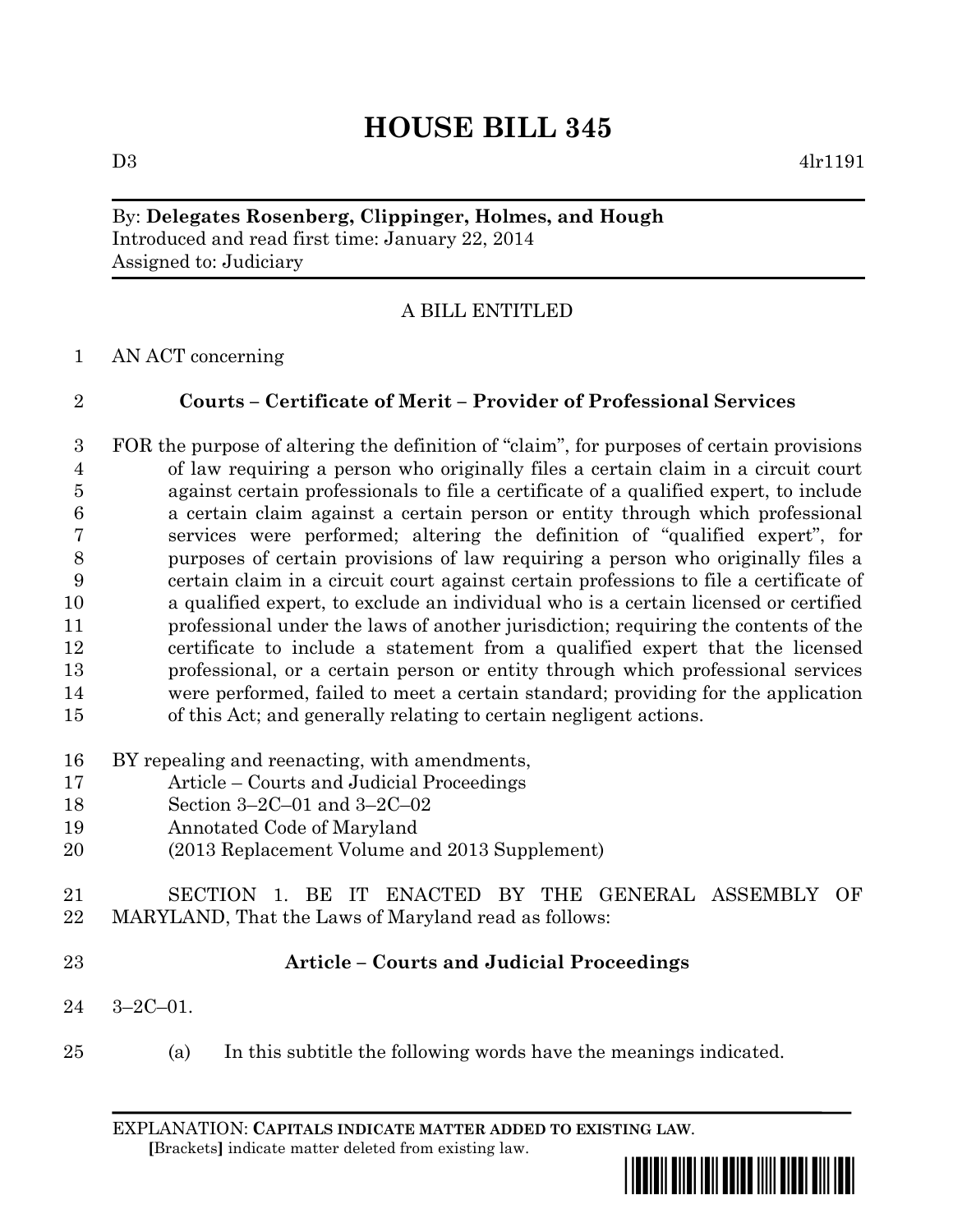# **HOUSE BILL 345**

#### By: **Delegates Rosenberg, Clippinger, Holmes, and Hough** Introduced and read first time: January 22, 2014 Assigned to: Judiciary

## A BILL ENTITLED

AN ACT concerning

## **Courts – Certificate of Merit – Provider of Professional Services**

 FOR the purpose of altering the definition of "claim", for purposes of certain provisions of law requiring a person who originally files a certain claim in a circuit court against certain professionals to file a certificate of a qualified expert, to include a certain claim against a certain person or entity through which professional services were performed; altering the definition of "qualified expert", for purposes of certain provisions of law requiring a person who originally files a certain claim in a circuit court against certain professions to file a certificate of a qualified expert, to exclude an individual who is a certain licensed or certified professional under the laws of another jurisdiction; requiring the contents of the certificate to include a statement from a qualified expert that the licensed professional, or a certain person or entity through which professional services were performed, failed to meet a certain standard; providing for the application of this Act; and generally relating to certain negligent actions.

- BY repealing and reenacting, with amendments,
- Article Courts and Judicial Proceedings
- Section 3–2C–01 and 3–2C–02
- Annotated Code of Maryland
- (2013 Replacement Volume and 2013 Supplement)
- SECTION 1. BE IT ENACTED BY THE GENERAL ASSEMBLY OF MARYLAND, That the Laws of Maryland read as follows:
- 

### **Article – Courts and Judicial Proceedings**

- 3–2C–01.
- (a) In this subtitle the following words have the meanings indicated.

EXPLANATION: **CAPITALS INDICATE MATTER ADDED TO EXISTING LAW**.  **[**Brackets**]** indicate matter deleted from existing law.

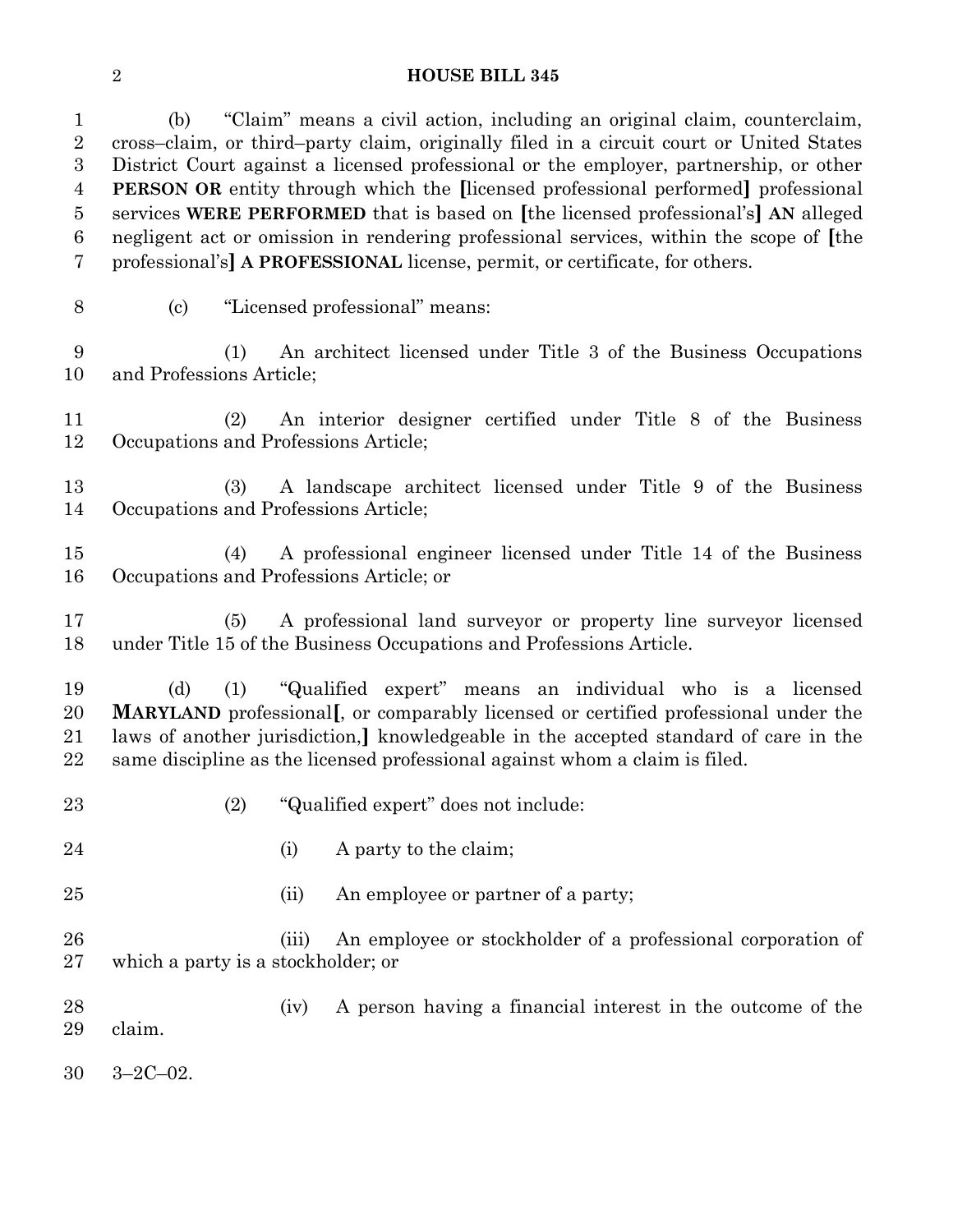#### **HOUSE BILL 345**

 (b) "Claim" means a civil action, including an original claim, counterclaim, cross–claim, or third–party claim, originally filed in a circuit court or United States District Court against a licensed professional or the employer, partnership, or other **PERSON OR** entity through which the **[**licensed professional performed**]** professional services **WERE PERFORMED** that is based on **[**the licensed professional's**] AN** alleged negligent act or omission in rendering professional services, within the scope of **[**the professional's**] A PROFESSIONAL** license, permit, or certificate, for others.

(c) "Licensed professional" means:

 (1) An architect licensed under Title 3 of the Business Occupations and Professions Article;

 (2) An interior designer certified under Title 8 of the Business Occupations and Professions Article;

 (3) A landscape architect licensed under Title 9 of the Business Occupations and Professions Article;

 (4) A professional engineer licensed under Title 14 of the Business Occupations and Professions Article; or

 (5) A professional land surveyor or property line surveyor licensed under Title 15 of the Business Occupations and Professions Article.

 (d) (1) "Qualified expert" means an individual who is a licensed **MARYLAND** professional**[**, or comparably licensed or certified professional under the laws of another jurisdiction,**]** knowledgeable in the accepted standard of care in the same discipline as the licensed professional against whom a claim is filed.

- (2) "Qualified expert" does not include:
- 
- 24 (i) A party to the claim;
- 25 (ii) An employee or partner of a party;

 (iii) An employee or stockholder of a professional corporation of which a party is a stockholder; or

28 (iv) A person having a financial interest in the outcome of the claim.

3–2C–02.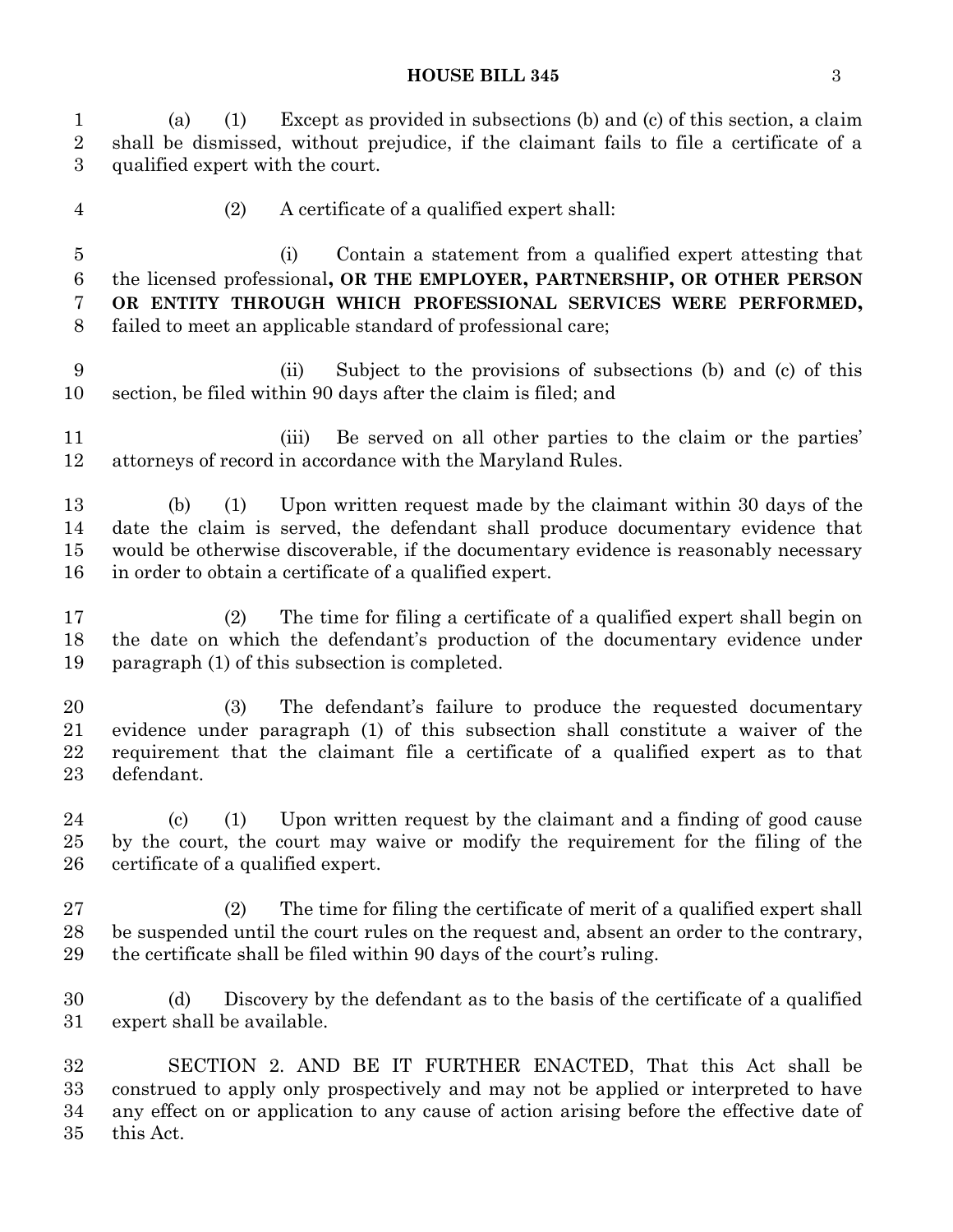#### **HOUSE BILL 345** 3

 (a) (1) Except as provided in subsections (b) and (c) of this section, a claim shall be dismissed, without prejudice, if the claimant fails to file a certificate of a qualified expert with the court. (2) A certificate of a qualified expert shall:

 (i) Contain a statement from a qualified expert attesting that the licensed professional**, OR THE EMPLOYER, PARTNERSHIP, OR OTHER PERSON OR ENTITY THROUGH WHICH PROFESSIONAL SERVICES WERE PERFORMED,** failed to meet an applicable standard of professional care;

 (ii) Subject to the provisions of subsections (b) and (c) of this section, be filed within 90 days after the claim is filed; and

11 (iii) Be served on all other parties to the claim or the parties' attorneys of record in accordance with the Maryland Rules.

 (b) (1) Upon written request made by the claimant within 30 days of the date the claim is served, the defendant shall produce documentary evidence that would be otherwise discoverable, if the documentary evidence is reasonably necessary in order to obtain a certificate of a qualified expert.

 (2) The time for filing a certificate of a qualified expert shall begin on the date on which the defendant's production of the documentary evidence under paragraph (1) of this subsection is completed.

 (3) The defendant's failure to produce the requested documentary evidence under paragraph (1) of this subsection shall constitute a waiver of the requirement that the claimant file a certificate of a qualified expert as to that defendant.

 (c) (1) Upon written request by the claimant and a finding of good cause by the court, the court may waive or modify the requirement for the filing of the certificate of a qualified expert.

 (2) The time for filing the certificate of merit of a qualified expert shall be suspended until the court rules on the request and, absent an order to the contrary, the certificate shall be filed within 90 days of the court's ruling.

 (d) Discovery by the defendant as to the basis of the certificate of a qualified expert shall be available.

 SECTION 2. AND BE IT FURTHER ENACTED, That this Act shall be construed to apply only prospectively and may not be applied or interpreted to have any effect on or application to any cause of action arising before the effective date of this Act.